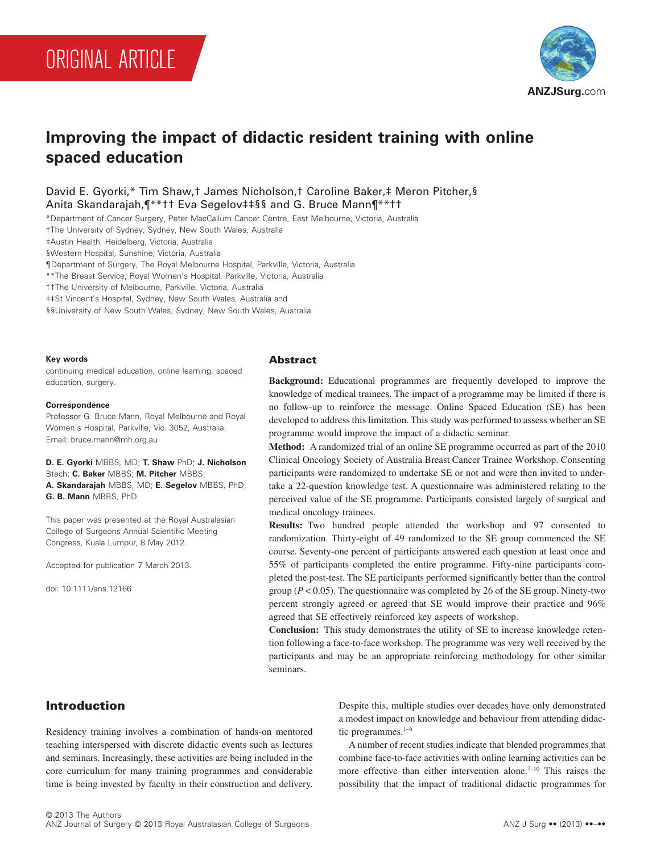

# **Improving the impact of didactic resident training with online spaced education**

David E. Gyorki,\* Tim Shaw,† James Nicholson,† Caroline Baker,‡ Meron Pitcher,§ Anita Skandarajah,¶\*\*†† Eva Segelov‡‡§§ and G. Bruce Mann¶\*\*††

\*Department of Cancer Surgery, Peter MacCallum Cancer Centre, East Melbourne, Victoria, Australia

†The University of Sydney, Sydney, New South Wales, Australia

‡Austin Health, Heidelberg, Victoria, Australia

§Western Hospital, Sunshine, Victoria, Australia

¶Department of Surgery, The Royal Melbourne Hospital, Parkville, Victoria, Australia

\*\*The Breast Service, Royal Women's Hospital, Parkville, Victoria, Australia

††The University of Melbourne, Parkville, Victoria, Australia

‡‡St Vincent's Hospital, Sydney, New South Wales, Australia and

§§University of New South Wales, Sydney, New South Wales, Australia

#### **Key words**

continuing medical education, online learning, spaced education, surgery.

#### **Correspondence**

Professor G. Bruce Mann, Royal Melbourne and Royal Women's Hospital, Parkville, Vic. 3052, Australia. Email: [bruce.mann@mh.org.au](mailto:bruce.mann@mh.org.au)

**D. E. Gyorki** MBBS, MD; **T. Shaw** PhD; **J. Nicholson** Btech; **C. Baker** MBBS; **M. Pitcher** MBBS; **A. Skandarajah** MBBS, MD; **E. Segelov** MBBS, PhD; **G. B. Mann** MBBS, PhD.

This paper was presented at the Royal Australasian College of Surgeons Annual Scientific Meeting Congress, Kuala Lumpur, 8 May 2012.

Accepted for publication 7 March 2013.

doi: 10.1111/ans.12166

# **Abstract**

**Background:** Educational programmes are frequently developed to improve the knowledge of medical trainees. The impact of a programme may be limited if there is no follow-up to reinforce the message. Online Spaced Education (SE) has been developed to address this limitation. This study was performed to assess whether an SE programme would improve the impact of a didactic seminar.

**Method:** A randomized trial of an online SE programme occurred as part of the 2010 Clinical Oncology Society of Australia Breast Cancer Trainee Workshop. Consenting participants were randomized to undertake SE or not and were then invited to undertake a 22-question knowledge test. A questionnaire was administered relating to the perceived value of the SE programme. Participants consisted largely of surgical and medical oncology trainees.

**Results:** Two hundred people attended the workshop and 97 consented to randomization. Thirty-eight of 49 randomized to the SE group commenced the SE course. Seventy-one percent of participants answered each question at least once and 55% of participants completed the entire programme. Fifty-nine participants completed the post-test. The SE participants performed significantly better than the control group ( $P < 0.05$ ). The questionnaire was completed by 26 of the SE group. Ninety-two percent strongly agreed or agreed that SE would improve their practice and 96% agreed that SE effectively reinforced key aspects of workshop.

**Conclusion:** This study demonstrates the utility of SE to increase knowledge retention following a face-to-face workshop. The programme was very well received by the participants and may be an appropriate reinforcing methodology for other similar seminars.

# **Introduction**

Residency training involves a combination of hands-on mentored teaching interspersed with discrete didactic events such as lectures and seminars. Increasingly, these activities are being included in the core curriculum for many training programmes and considerable time is being invested by faculty in their construction and delivery. Despite this, multiple studies over decades have only demonstrated a modest impact on knowledge and behaviour from attending didactic programmes. $1-6$ 

A number of recent studies indicate that blended programmes that combine face-to-face activities with online learning activities can be more effective than either intervention alone.<sup>7-10</sup> This raises the possibility that the impact of traditional didactic programmes for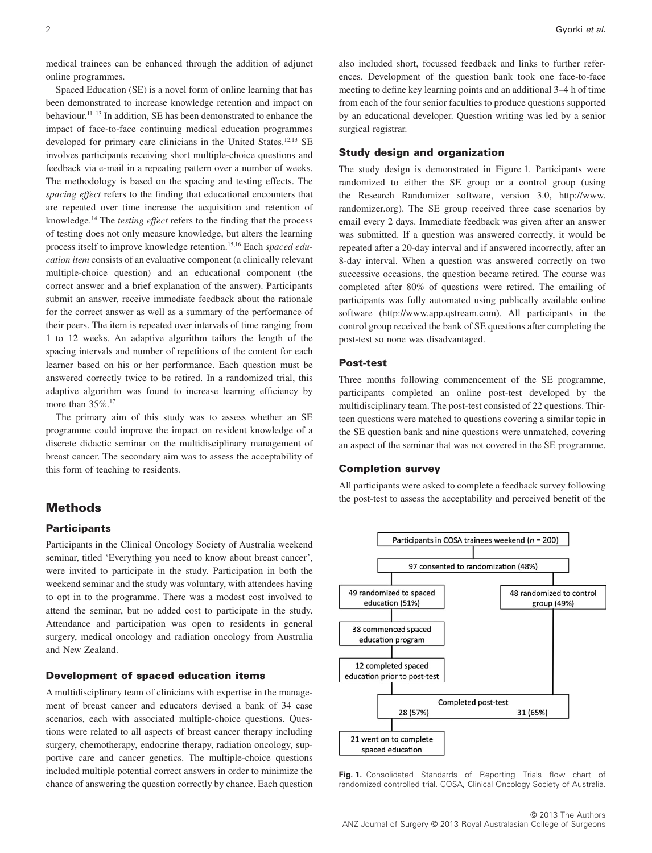medical trainees can be enhanced through the addition of adjunct online programmes.

Spaced Education (SE) is a novel form of online learning that has been demonstrated to increase knowledge retention and impact on behaviour.11–13 In addition, SE has been demonstrated to enhance the impact of face-to-face continuing medical education programmes developed for primary care clinicians in the United States.<sup>12,13</sup> SE involves participants receiving short multiple-choice questions and feedback via e-mail in a repeating pattern over a number of weeks. The methodology is based on the spacing and testing effects. The *spacing effect* refers to the finding that educational encounters that are repeated over time increase the acquisition and retention of knowledge.14 The *testing effect* refers to the finding that the process of testing does not only measure knowledge, but alters the learning process itself to improve knowledge retention.15,16 Each *spaced education item* consists of an evaluative component (a clinically relevant multiple-choice question) and an educational component (the correct answer and a brief explanation of the answer). Participants submit an answer, receive immediate feedback about the rationale for the correct answer as well as a summary of the performance of their peers. The item is repeated over intervals of time ranging from 1 to 12 weeks. An adaptive algorithm tailors the length of the spacing intervals and number of repetitions of the content for each learner based on his or her performance. Each question must be answered correctly twice to be retired. In a randomized trial, this adaptive algorithm was found to increase learning efficiency by more than  $35\%$ <sup>17</sup>

The primary aim of this study was to assess whether an SE programme could improve the impact on resident knowledge of a discrete didactic seminar on the multidisciplinary management of breast cancer. The secondary aim was to assess the acceptability of this form of teaching to residents.

# **Methods**

#### **Participants**

Participants in the Clinical Oncology Society of Australia weekend seminar, titled 'Everything you need to know about breast cancer', were invited to participate in the study. Participation in both the weekend seminar and the study was voluntary, with attendees having to opt in to the programme. There was a modest cost involved to attend the seminar, but no added cost to participate in the study. Attendance and participation was open to residents in general surgery, medical oncology and radiation oncology from Australia and New Zealand.

#### **Development of spaced education items**

A multidisciplinary team of clinicians with expertise in the management of breast cancer and educators devised a bank of 34 case scenarios, each with associated multiple-choice questions. Questions were related to all aspects of breast cancer therapy including surgery, chemotherapy, endocrine therapy, radiation oncology, supportive care and cancer genetics. The multiple-choice questions included multiple potential correct answers in order to minimize the chance of answering the question correctly by chance. Each question

also included short, focussed feedback and links to further references. Development of the question bank took one face-to-face meeting to define key learning points and an additional 3–4 h of time from each of the four senior faculties to produce questions supported by an educational developer. Question writing was led by a senior surgical registrar.

#### **Study design and organization**

The study design is demonstrated in Figure 1. Participants were randomized to either the SE group or a control group (using the Research Randomizer software, version 3.0, [http://www.](http://www.randomizer.org) [randomizer.org\)](http://www.randomizer.org). The SE group received three case scenarios by email every 2 days. Immediate feedback was given after an answer was submitted. If a question was answered correctly, it would be repeated after a 20-day interval and if answered incorrectly, after an 8-day interval. When a question was answered correctly on two successive occasions, the question became retired. The course was completed after 80% of questions were retired. The emailing of participants was fully automated using publically available online software [\(http://www.app.qstream.com\)](http://www.app.qstream.com). All participants in the control group received the bank of SE questions after completing the post-test so none was disadvantaged.

#### **Post-test**

Three months following commencement of the SE programme, participants completed an online post-test developed by the multidisciplinary team. The post-test consisted of 22 questions. Thirteen questions were matched to questions covering a similar topic in the SE question bank and nine questions were unmatched, covering an aspect of the seminar that was not covered in the SE programme.

### **Completion survey**

All participants were asked to complete a feedback survey following the post-test to assess the acceptability and perceived benefit of the



**Fig. 1.** Consolidated Standards of Reporting Trials flow chart of randomized controlled trial. COSA, Clinical Oncology Society of Australia.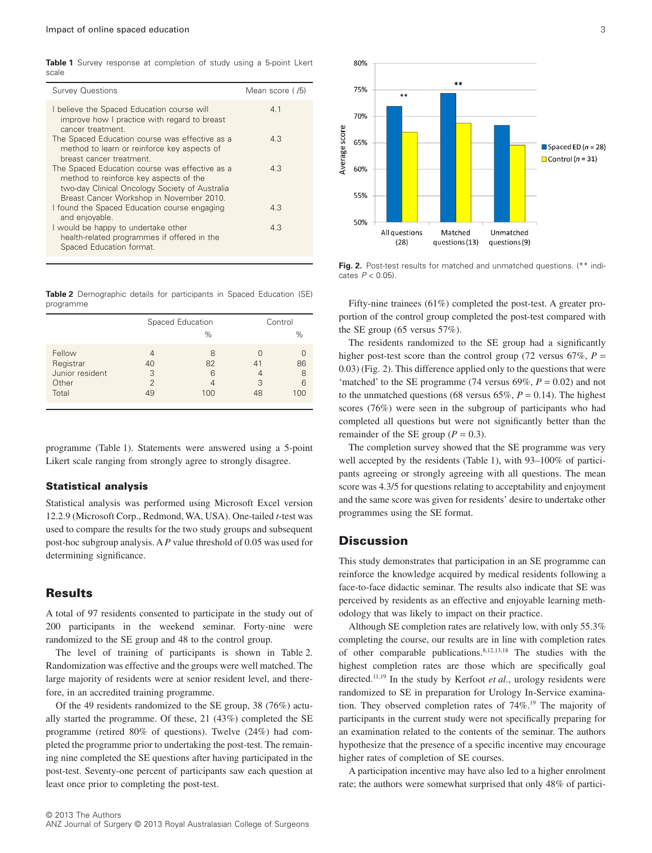**Table 1** Survey response at completion of study using a 5-point Lkert scale

| <b>Survey Questions</b>                                                                                                                                                                | Mean score (/5) |
|----------------------------------------------------------------------------------------------------------------------------------------------------------------------------------------|-----------------|
| I believe the Spaced Education course will<br>improve how I practice with regard to breast<br>cancer treatment.                                                                        | 41              |
| The Spaced Education course was effective as a<br>method to learn or reinforce key aspects of<br>breast cancer treatment.                                                              | 4.3             |
| The Spaced Education course was effective as a<br>method to reinforce key aspects of the<br>two-day Clinical Oncology Society of Australia<br>Breast Cancer Workshop in November 2010. | 4.3             |
| I found the Spaced Education course engaging<br>and enjoyable.                                                                                                                         | 4.3             |
| I would be happy to undertake other<br>health-related programmes if offered in the<br>Spaced Education format.                                                                         | 4.3             |

**Table 2** Demographic details for participants in Spaced Education (SE) programme

|                                                          | Spaced Education                |                          |         | Control             |  |
|----------------------------------------------------------|---------------------------------|--------------------------|---------|---------------------|--|
|                                                          |                                 | $\%$                     |         | %                   |  |
| Fellow<br>Registrar<br>Junior resident<br>Other<br>Total | 40<br>3<br>$\mathfrak{D}$<br>49 | 8<br>82<br>6<br>Δ<br>100 | 3<br>48 | 86<br>8<br>6<br>100 |  |

programme (Table 1). Statements were answered using a 5-point Likert scale ranging from strongly agree to strongly disagree.

#### **Statistical analysis**

Statistical analysis was performed using Microsoft Excel version 12.2.9 (Microsoft Corp., Redmond, WA, USA). One-tailed *t*-test was used to compare the results for the two study groups and subsequent post-hoc subgroup analysis. A *P* value threshold of 0.05 was used for determining significance.

# **Results**

A total of 97 residents consented to participate in the study out of 200 participants in the weekend seminar. Forty-nine were randomized to the SE group and 48 to the control group.

The level of training of participants is shown in Table 2. Randomization was effective and the groups were well matched. The large majority of residents were at senior resident level, and therefore, in an accredited training programme.

Of the 49 residents randomized to the SE group, 38 (76%) actually started the programme. Of these, 21 (43%) completed the SE programme (retired 80% of questions). Twelve (24%) had completed the programme prior to undertaking the post-test. The remaining nine completed the SE questions after having participated in the post-test. Seventy-one percent of participants saw each question at least once prior to completing the post-test.



Fig. 2. Post-test results for matched and unmatched questions. (\*\* indicates *P* < 0.05).

Fifty-nine trainees (61%) completed the post-test. A greater proportion of the control group completed the post-test compared with the SE group  $(65 \text{ versus } 57\%)$ .

The residents randomized to the SE group had a significantly higher post-test score than the control group (72 versus  $67\%$ , *P* = 0.03) (Fig. 2). This difference applied only to the questions that were 'matched' to the SE programme (74 versus  $69\%$ ,  $P = 0.02$ ) and not to the unmatched questions (68 versus 65%,  $P = 0.14$ ). The highest scores (76%) were seen in the subgroup of participants who had completed all questions but were not significantly better than the remainder of the SE group ( $P = 0.3$ ).

The completion survey showed that the SE programme was very well accepted by the residents (Table 1), with 93–100% of participants agreeing or strongly agreeing with all questions. The mean score was 4.3/5 for questions relating to acceptability and enjoyment and the same score was given for residents' desire to undertake other programmes using the SE format.

# **Discussion**

This study demonstrates that participation in an SE programme can reinforce the knowledge acquired by medical residents following a face-to-face didactic seminar. The results also indicate that SE was perceived by residents as an effective and enjoyable learning methodology that was likely to impact on their practice.

Although SE completion rates are relatively low, with only 55.3% completing the course, our results are in line with completion rates of other comparable publications.8,12,13,18 The studies with the highest completion rates are those which are specifically goal directed.11,19 In the study by Kerfoot *et al*., urology residents were randomized to SE in preparation for Urology In-Service examination. They observed completion rates of 74%.19 The majority of participants in the current study were not specifically preparing for an examination related to the contents of the seminar. The authors hypothesize that the presence of a specific incentive may encourage higher rates of completion of SE courses.

A participation incentive may have also led to a higher enrolment rate; the authors were somewhat surprised that only 48% of partici